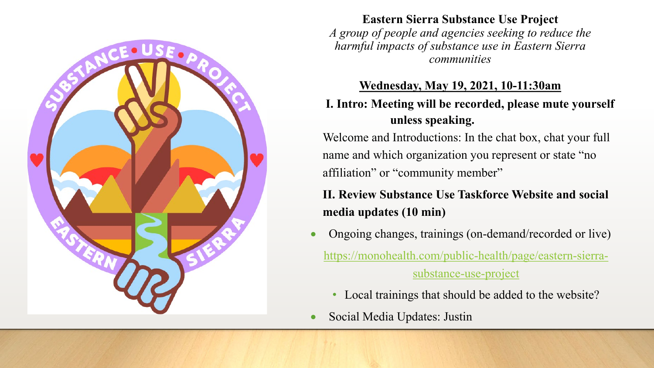

**Eastern Sierra Substance Use Project** *A group of people and agencies seeking to reduce the harmful impacts of substance use in Eastern Sierra communities*

### **Wednesday, May 19, 2021, 10-11:30am**

# **I. Intro: Meeting will be recorded, please mute yourself unless speaking.**

Welcome and Introductions: In the chat box, chat your full name and which organization you represent or state "no affiliation" or "community member"

# **II. Review Substance Use Taskforce Website and social media updates (10 min)**

- Ongoing changes, trainings (on-demand/recorded or live) [https://monohealth.com/public-health/page/eastern-sierra](https://monohealth.com/public-health/page/eastern-sierra-substance-use-project)substance-use-project
	- Local trainings that should be added to the website?
- Social Media Updates: Justin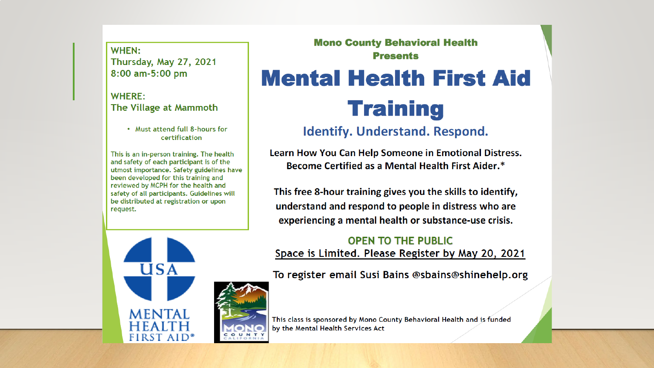WHEN: Thursday, May 27, 2021 8:00 am-5:00 pm

#### **WHERE:** The Village at Mammoth

. Must attend full 8-hours for certification

This is an in-person training. The health and safety of each participant is of the utmost importance. Safety guidelines have been developed for this training and reviewed by MCPH for the health and safety of all participants. Guidelines will be distributed at registration or upon request.

 $\overline{U}$ SA

**MENTAI** 

**FIRST AID\*** 

### **Mono County Behavioral Health Presents**

# **Mental Health First Aid Training**

# **Identify. Understand. Respond.**

Learn How You Can Help Someone in Emotional Distress. Become Certified as a Mental Health First Aider.\*

This free 8-hour training gives you the skills to identify, understand and respond to people in distress who are experiencing a mental health or substance-use crisis.

### **OPEN TO THE PUBLIC** Space is Limited. Please Register by May 20, 2021

To register email Susi Bains @sbains@shinehelp.org

This class is sponsored by Mono County Behavioral Health and is funded by the Mental Health Services Act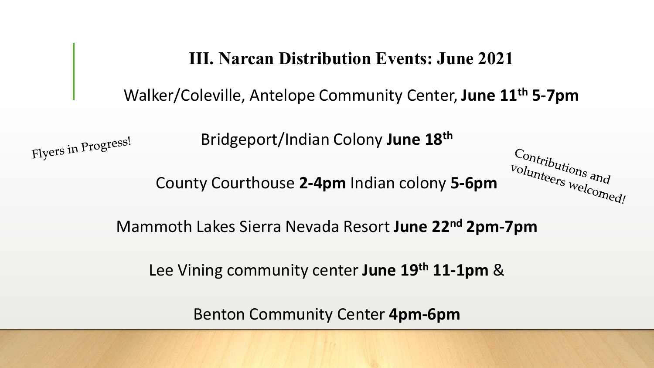**III. Narcan Distribution Events: June 2021**

Walker/Coleville, Antelope Community Center, **June 11th 5-7pm**

 $\frac{C_{\text{0}}}{V_{\text{0}}}{V_{\text{1}}}{V_{\text{2}}}{V_{\text{2}}}{V_{\text{3}}}{V_{\text{3}}}{V_{\text{3}}}{V_{\text{3}}}{V_{\text{4}}}{V_{\text{4}}}{V_{\text{5}}}{V_{\text{4}}}{V_{\text{5}}}{V_{\text{6}}}{V_{\text{6}}}{V_{\text{6}}}{V_{\text{6}}}{V_{\text{6}}}{V_{\text{6}}}{V_{\text{6}}}{V_{\text{6}}}{V_{\text{6}}}{V_{\text{6}}}{V_{\text{6}}}{V_{\text{6}}}{V_{\text{6}}}{V$ 

volunteers welcomed!

Bridgeport/Indian Colony **June 18th**

Flyers in Progress!

County Courthouse **2-4pm** Indian colony **5-6pm**

Mammoth Lakes Sierra Nevada Resort **June 22nd 2pm-7pm**

Lee Vining community center **June 19th 11-1pm** &

Benton Community Center **4pm-6pm**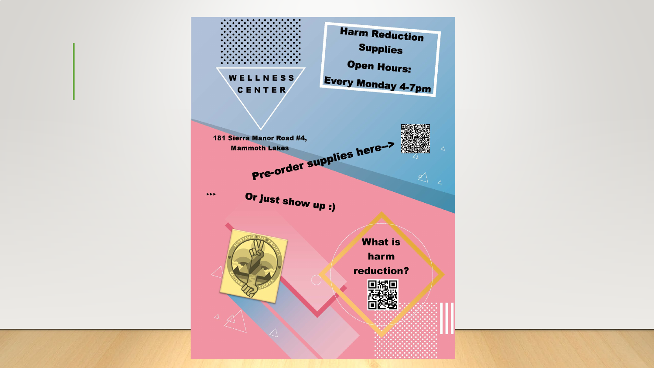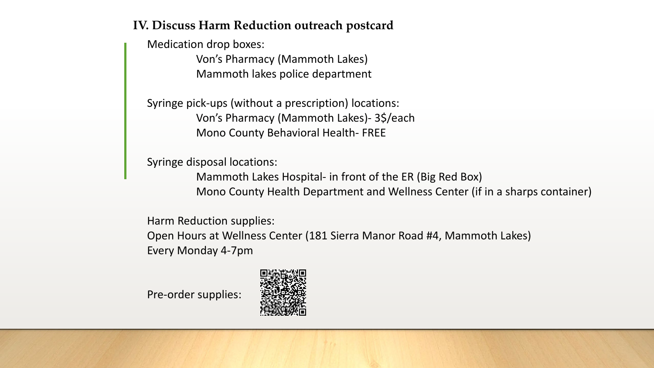# **IV. Discuss Harm Reduction outreach postcard**

Medication drop boxes: Von's Pharmacy (Mammoth Lakes) Mammoth lakes police department

Syringe pick-ups (without a prescription) locations: Von's Pharmacy (Mammoth Lakes)- 3\$/each Mono County Behavioral Health- FREE

Syringe disposal locations:

Mammoth Lakes Hospital- in front of the ER (Big Red Box) Mono County Health Department and Wellness Center (if in a sharps container)

Harm Reduction supplies: Open Hours at Wellness Center (181 Sierra Manor Road #4, Mammoth Lakes) Every Monday 4-7pm

Pre-order supplies: